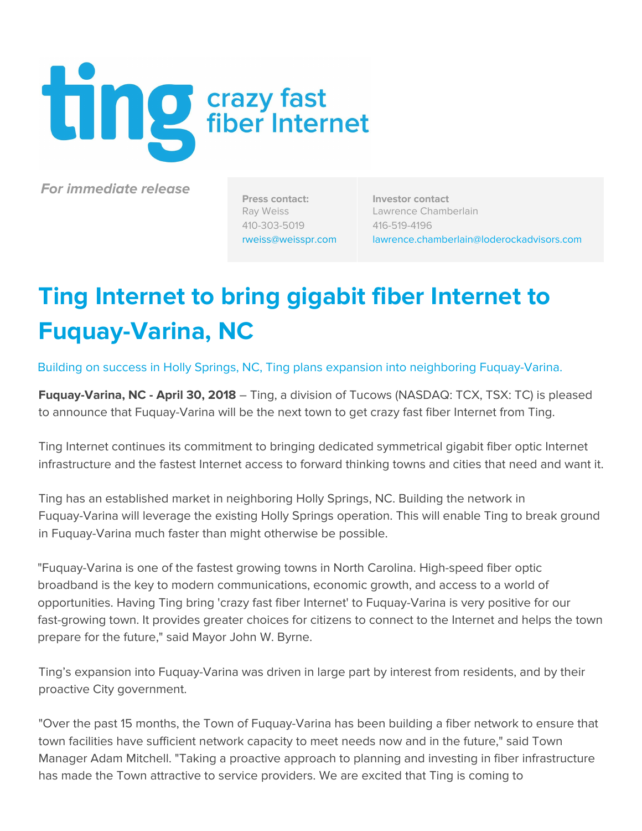

**For immediate release**

**Press contact:** Ray Weiss 410-303-5019 [rweiss@weisspr.com](mailto:rweiss@weisspr.com)

**Investor contact** Lawrence Chamberlain 416-519-4196 [lawrence.chamberlain@loderockadvisors.com](mailto:lawrence.chamberlain@loderockadvisors.com)

# **Ting Internet to bring gigabit fiber Internet to Fuquay-Varina, NC**

Building on success in Holly Springs, NC, Ting plans expansion into neighboring Fuquay-Varina.

**Fuquay-Varina, NC - April 30, 2018** – Ting, a division of Tucows (NASDAQ: TCX, TSX: TC) is pleased to announce that Fuquay-Varina will be the next town to get crazy fast fiber Internet from Ting.

Ting Internet continues its commitment to bringing dedicated symmetrical gigabit fiber optic Internet infrastructure and the fastest Internet access to forward thinking towns and cities that need and want it.

Ting has an established market in neighboring Holly Springs, NC. Building the network in Fuquay-Varina will leverage the existing Holly Springs operation. This will enable Ting to break ground in Fuquay-Varina much faster than might otherwise be possible.

"Fuquay-Varina is one of the fastest growing towns in North Carolina. High-speed fiber optic broadband is the key to modern communications, economic growth, and access to a world of opportunities. Having Ting bring 'crazy fast fiber Internet' to Fuquay-Varina is very positive for our fast-growing town. It provides greater choices for citizens to connect to the Internet and helps the town prepare for the future," said Mayor John W. Byrne.

Ting's expansion into Fuquay-Varina was driven in large part by interest from residents, and by their proactive City government.

"Over the past 15 months, the Town of Fuquay-Varina has been building a fiber network to ensure that town facilities have sufficient network capacity to meet needs now and in the future," said Town Manager Adam Mitchell. "Taking a proactive approach to planning and investing in fiber infrastructure has made the Town attractive to service providers. We are excited that Ting is coming to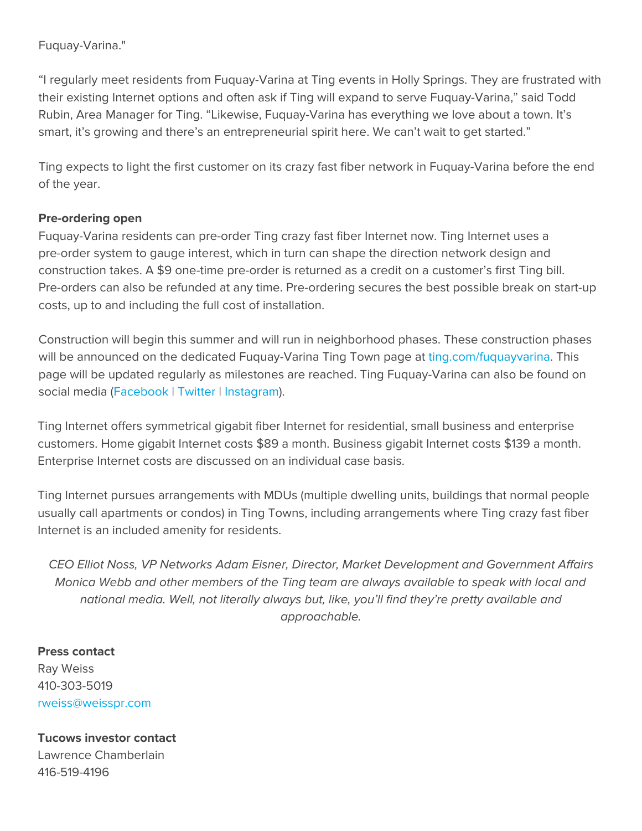## Fuquay-Varina."

"I regularly meet residents from Fuquay-Varina at Ting events in Holly Springs. They are frustrated with their existing Internet options and often ask if Ting will expand to serve Fuquay-Varina," said Todd Rubin, Area Manager for Ting. "Likewise, Fuquay-Varina has everything we love about a town. It's smart, it's growing and there's an entrepreneurial spirit here. We can't wait to get started."

Ting expects to light the first customer on its crazy fast fiber network in Fuquay-Varina before the end of the year.

### **Pre-ordering open**

Fuquay-Varina residents can pre-order Ting crazy fast fiber Internet now. Ting Internet uses a pre-order system to gauge interest, which in turn can shape the direction network design and construction takes. A \$9 one-time pre-order is returned as a credit on a customer's first Ting bill. Pre-orders can also be refunded at any time. Pre-ordering secures the best possible break on start-up costs, up to and including the full cost of installation.

Construction will begin this summer and will run in neighborhood phases. These construction phases will be announced on the dedicated Fuquay-Varina Ting Town page at [ting.com/fuquayvarina.](https://ting.com/fuquayvarina) This page will be updated regularly as milestones are reached. Ting Fuquay-Varina can also be found on social media ([Facebook](https://www.facebook.com/tingfuquayvarina) | [Twitter](https://twitter.com/tingfv) | [Instagram](https://www.instagram.com/ting_fuquayvarina)).

Ting Internet offers symmetrical gigabit fiber Internet for residential, small business and enterprise customers. Home gigabit Internet costs \$89 a month. Business gigabit Internet costs \$139 a month. Enterprise Internet costs are discussed on an individual case basis.

Ting Internet pursues arrangements with MDUs (multiple dwelling units, buildings that normal people usually call apartments or condos) in Ting Towns, including arrangements where Ting crazy fast fiber Internet is an included amenity for residents.

CEO Elliot Noss, VP Networks Adam Eisner, Director, Market Development and Government Affairs Monica Webb and other members of the Ting team are always available to speak with local and national media. Well, not literally always but, like, you'll find they're pretty available and approachable.

**Press contact** Ray Weiss 410-303-5019 [rweiss@weisspr.com](mailto:rweiss@weisspr.com)

**Tucows investor contact** Lawrence Chamberlain 416-519-4196